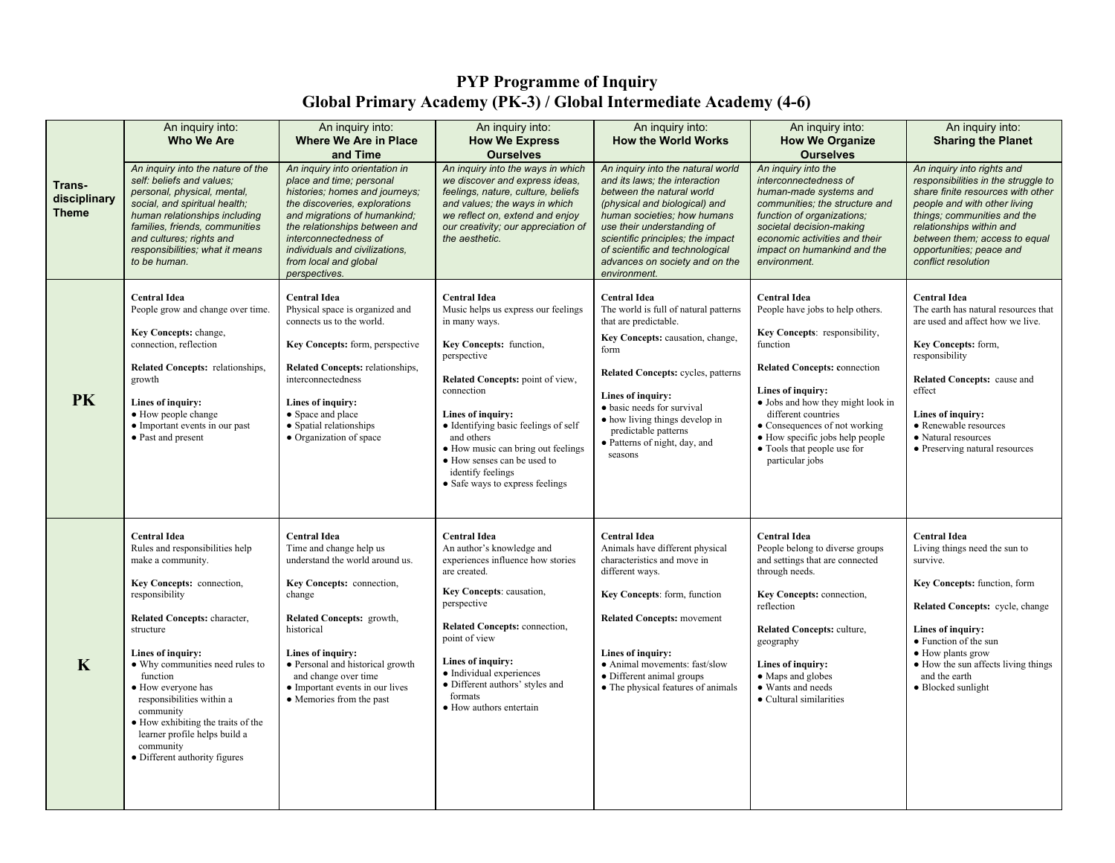## **PYP Programme of Inquiry Global Primary Academy (PK-3) / Global Intermediate Academy (4-6)**

|                                        | An inquiry into:<br><b>Who We Are</b>                                                                                                                                                                                                                                                                                                                                                                                            | An inquiry into:<br><b>Where We Are in Place</b><br>and Time                                                                                                                                                                                                                                                        | An inquiry into:<br><b>How We Express</b><br><b>Ourselves</b>                                                                                                                                                                                                                                                                                                                   | An inquiry into:<br><b>How the World Works</b>                                                                                                                                                                                                                                                                                   | An inquiry into:<br><b>How We Organize</b><br><b>Ourselves</b>                                                                                                                                                                                                                                                                                     | An inquiry into:<br><b>Sharing the Planet</b>                                                                                                                                                                                                                                            |
|----------------------------------------|----------------------------------------------------------------------------------------------------------------------------------------------------------------------------------------------------------------------------------------------------------------------------------------------------------------------------------------------------------------------------------------------------------------------------------|---------------------------------------------------------------------------------------------------------------------------------------------------------------------------------------------------------------------------------------------------------------------------------------------------------------------|---------------------------------------------------------------------------------------------------------------------------------------------------------------------------------------------------------------------------------------------------------------------------------------------------------------------------------------------------------------------------------|----------------------------------------------------------------------------------------------------------------------------------------------------------------------------------------------------------------------------------------------------------------------------------------------------------------------------------|----------------------------------------------------------------------------------------------------------------------------------------------------------------------------------------------------------------------------------------------------------------------------------------------------------------------------------------------------|------------------------------------------------------------------------------------------------------------------------------------------------------------------------------------------------------------------------------------------------------------------------------------------|
| Trans-<br>disciplinary<br><b>Theme</b> | An inquiry into the nature of the<br>self: beliefs and values;<br>personal, physical, mental,<br>social, and spiritual health;<br>human relationships including<br>families, friends, communities<br>and cultures; rights and<br>responsibilities; what it means<br>to be human.                                                                                                                                                 | An inquiry into orientation in<br>place and time; personal<br>histories; homes and journeys;<br>the discoveries, explorations<br>and migrations of humankind;<br>the relationships between and<br>interconnectedness of<br>individuals and civilizations.<br>from local and global<br>perspectives.                 | An inquiry into the ways in which<br>we discover and express ideas.<br>feelings, nature, culture, beliefs<br>and values; the ways in which<br>we reflect on, extend and enjoy<br>our creativity; our appreciation of<br>the aesthetic.                                                                                                                                          | An inquiry into the natural world<br>and its laws; the interaction<br>between the natural world<br>(physical and biological) and<br>human societies; how humans<br>use their understanding of<br>scientific principles; the impact<br>of scientific and technological<br>advances on society and on the<br>environment.          | An inquiry into the<br>interconnectedness of<br>human-made systems and<br>communities; the structure and<br>function of organizations:<br>societal decision-making<br>economic activities and their<br>impact on humankind and the<br>environment.                                                                                                 | An inquiry into rights and<br>responsibilities in the struggle to<br>share finite resources with other<br>people and with other living<br>things; communities and the<br>relationships within and<br>between them; access to equal<br>opportunities; peace and<br>conflict resolution    |
| <b>PK</b>                              | <b>Central Idea</b><br>People grow and change over time.<br>Key Concepts: change,<br>connection, reflection<br>Related Concepts: relationships,<br>growth<br>Lines of inquiry:<br>• How people change<br>• Important events in our past<br>• Past and present                                                                                                                                                                    | <b>Central Idea</b><br>Physical space is organized and<br>connects us to the world.<br>Key Concepts: form, perspective<br>Related Concepts: relationships,<br>interconnectedness<br>Lines of inquiry:<br>• Space and place<br>• Spatial relationships<br>• Organization of space                                    | <b>Central Idea</b><br>Music helps us express our feelings<br>in many ways.<br>Key Concepts: function,<br>perspective<br>Related Concepts: point of view,<br>connection<br>Lines of inquiry:<br>• Identifying basic feelings of self<br>and others<br>• How music can bring out feelings<br>• How senses can be used to<br>identify feelings<br>• Safe ways to express feelings | <b>Central Idea</b><br>The world is full of natural patterns<br>that are predictable.<br>Key Concepts: causation, change,<br>form<br>Related Concepts: cycles, patterns<br>Lines of inquiry:<br>· basic needs for survival<br>• how living things develop in<br>predictable patterns<br>• Patterns of night, day, and<br>seasons | <b>Central Idea</b><br>People have jobs to help others.<br>Key Concepts: responsibility,<br>function<br><b>Related Concepts: connection</b><br>Lines of inquiry:<br>• Jobs and how they might look in<br>different countries<br>• Consequences of not working<br>• How specific jobs help people<br>• Tools that people use for<br>particular jobs | <b>Central Idea</b><br>The earth has natural resources that<br>are used and affect how we live.<br>Key Concepts: form,<br>responsibility<br>Related Concepts: cause and<br>effect<br>Lines of inquiry:<br>• Renewable resources<br>• Natural resources<br>• Preserving natural resources |
| $\mathbf K$                            | <b>Central Idea</b><br>Rules and responsibilities help<br>make a community.<br>Key Concepts: connection,<br>responsibility<br>Related Concepts: character,<br>structure<br>Lines of inquiry:<br>• Why communities need rules to<br>function<br>• How everyone has<br>responsibilities within a<br>community<br>• How exhibiting the traits of the<br>learner profile helps build a<br>community<br>• Different authority figures | <b>Central Idea</b><br>Time and change help us<br>understand the world around us.<br>Key Concepts: connection,<br>change<br>Related Concepts: growth,<br>historical<br>Lines of inquiry:<br>• Personal and historical growth<br>and change over time<br>• Important events in our lives<br>• Memories from the past | <b>Central Idea</b><br>An author's knowledge and<br>experiences influence how stories<br>are created.<br>Key Concepts: causation,<br>perspective<br>Related Concepts: connection,<br>point of view<br>Lines of inquiry:<br>• Individual experiences<br>· Different authors' styles and<br>formats<br>• How authors entertain                                                    | <b>Central Idea</b><br>Animals have different physical<br>characteristics and move in<br>different ways.<br>Key Concepts: form, function<br><b>Related Concepts: movement</b><br>Lines of inquiry:<br>• Animal movements: fast/slow<br>• Different animal groups<br>• The physical features of animals                           | <b>Central Idea</b><br>People belong to diverse groups<br>and settings that are connected<br>through needs.<br>Key Concepts: connection,<br>reflection<br><b>Related Concepts: culture,</b><br>geography<br>Lines of inquiry:<br>• Maps and globes<br>• Wants and needs<br>• Cultural similarities                                                 | <b>Central Idea</b><br>Living things need the sun to<br>survive.<br>Key Concepts: function, form<br>Related Concepts: cycle, change<br>Lines of inquiry:<br>• Function of the sun<br>• How plants grow<br>• How the sun affects living things<br>and the earth<br>• Blocked sunlight     |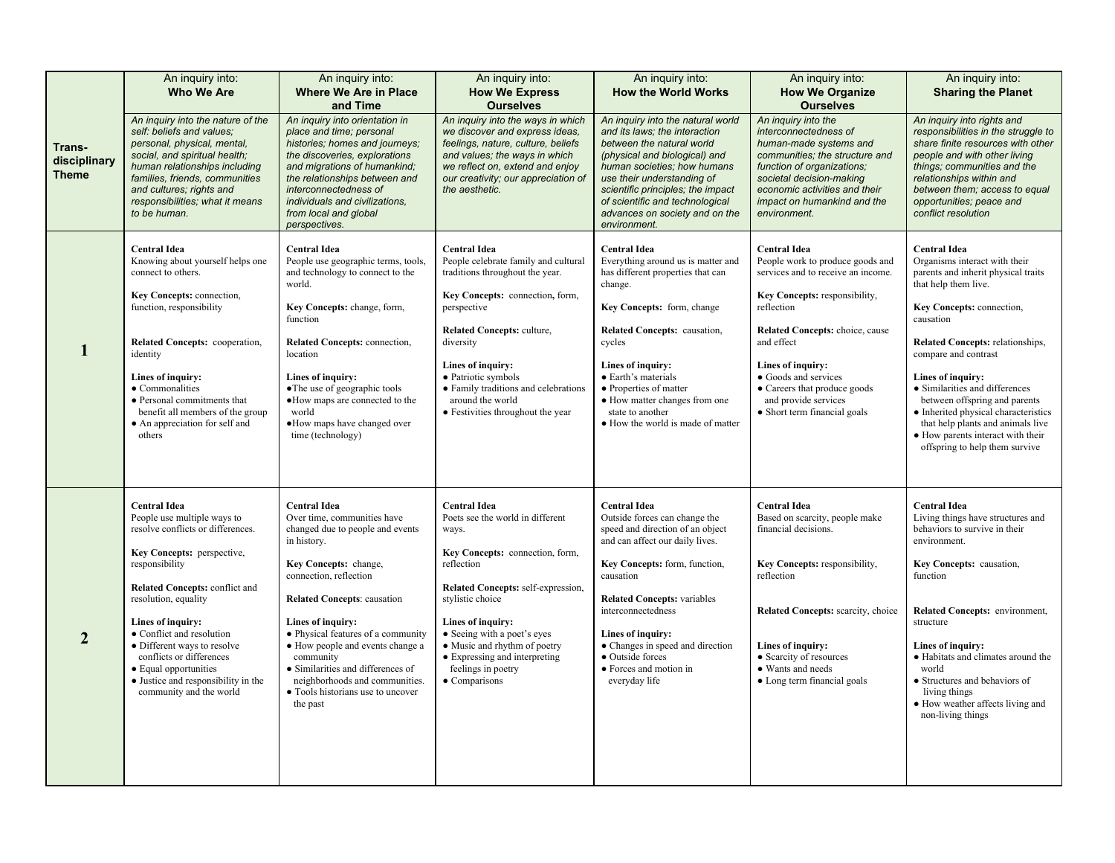|                                        | An inquiry into:<br><b>Who We Are</b>                                                                                                                                                                                                                                                                                                                                                                            | An inquiry into:<br><b>Where We Are in Place</b><br>and Time                                                                                                                                                                                                                                                                                                                                                                      | An inquiry into:<br><b>How We Express</b><br><b>Ourselves</b>                                                                                                                                                                                                                                                                                           | An inquiry into:<br><b>How the World Works</b>                                                                                                                                                                                                                                                                                                                | An inquiry into:<br><b>How We Organize</b><br><b>Ourselves</b>                                                                                                                                                                                                                                                                     | An inquiry into:<br><b>Sharing the Planet</b>                                                                                                                                                                                                                                                                                                                                                                                                                         |
|----------------------------------------|------------------------------------------------------------------------------------------------------------------------------------------------------------------------------------------------------------------------------------------------------------------------------------------------------------------------------------------------------------------------------------------------------------------|-----------------------------------------------------------------------------------------------------------------------------------------------------------------------------------------------------------------------------------------------------------------------------------------------------------------------------------------------------------------------------------------------------------------------------------|---------------------------------------------------------------------------------------------------------------------------------------------------------------------------------------------------------------------------------------------------------------------------------------------------------------------------------------------------------|---------------------------------------------------------------------------------------------------------------------------------------------------------------------------------------------------------------------------------------------------------------------------------------------------------------------------------------------------------------|------------------------------------------------------------------------------------------------------------------------------------------------------------------------------------------------------------------------------------------------------------------------------------------------------------------------------------|-----------------------------------------------------------------------------------------------------------------------------------------------------------------------------------------------------------------------------------------------------------------------------------------------------------------------------------------------------------------------------------------------------------------------------------------------------------------------|
| Trans-<br>disciplinary<br><b>Theme</b> | An inquiry into the nature of the<br>self: beliefs and values;<br>personal, physical, mental,<br>social, and spiritual health;<br>human relationships including<br>families, friends, communities<br>and cultures; rights and<br>responsibilities; what it means<br>to be human.                                                                                                                                 | An inquiry into orientation in<br>place and time; personal<br>histories; homes and journeys;<br>the discoveries, explorations<br>and migrations of humankind;<br>the relationships between and<br>interconnectedness of<br>individuals and civilizations,<br>from local and global<br>perspectives.                                                                                                                               | An inquiry into the ways in which<br>we discover and express ideas,<br>feelings, nature, culture, beliefs<br>and values; the ways in which<br>we reflect on, extend and enjoy<br>our creativity; our appreciation of<br>the aesthetic.                                                                                                                  | An inquiry into the natural world<br>and its laws; the interaction<br>between the natural world<br>(physical and biological) and<br>human societies; how humans<br>use their understanding of<br>scientific principles; the impact<br>of scientific and technological<br>advances on society and on the<br>environment.                                       | An inquiry into the<br>interconnectedness of<br>human-made systems and<br>communities; the structure and<br>function of organizations:<br>societal decision-making<br>economic activities and their<br>impact on humankind and the<br>environment.                                                                                 | An inquiry into rights and<br>responsibilities in the struggle to<br>share finite resources with other<br>people and with other living<br>things; communities and the<br>relationships within and<br>between them; access to equal<br>opportunities; peace and<br>conflict resolution                                                                                                                                                                                 |
|                                        | <b>Central Idea</b><br>Knowing about yourself helps one<br>connect to others.<br>Key Concepts: connection,<br>function, responsibility<br>Related Concepts: cooperation,<br>identity<br>Lines of inquiry:<br>• Commonalities<br>• Personal commitments that<br>benefit all members of the group<br>• An appreciation for self and<br>others                                                                      | <b>Central Idea</b><br>People use geographic terms, tools,<br>and technology to connect to the<br>world.<br>Key Concepts: change, form,<br>function<br>Related Concepts: connection,<br>location<br>Lines of inquiry:<br>• The use of geographic tools<br>·How maps are connected to the<br>world<br>·How maps have changed over<br>time (technology)                                                                             | <b>Central Idea</b><br>People celebrate family and cultural<br>traditions throughout the year.<br>Key Concepts: connection, form,<br>perspective<br><b>Related Concepts: culture,</b><br>diversity<br>Lines of inquiry:<br>· Patriotic symbols<br>• Family traditions and celebrations<br>around the world<br>• Festivities throughout the year         | <b>Central Idea</b><br>Everything around us is matter and<br>has different properties that can<br>change.<br>Key Concepts: form, change<br>Related Concepts: causation,<br>cycles<br>Lines of inquiry:<br>• Earth's materials<br>• Properties of matter<br>• How matter changes from one<br>state to another<br>• How the world is made of matter             | <b>Central Idea</b><br>People work to produce goods and<br>services and to receive an income.<br>Key Concepts: responsibility,<br>reflection<br>Related Concepts: choice, cause<br>and effect<br>Lines of inquiry:<br>• Goods and services<br>• Careers that produce goods<br>and provide services<br>• Short term financial goals | <b>Central Idea</b><br>Organisms interact with their<br>parents and inherit physical traits<br>that help them live.<br>Key Concepts: connection,<br>causation<br>Related Concepts: relationships,<br>compare and contrast<br>Lines of inquiry:<br>• Similarities and differences<br>between offspring and parents<br>• Inherited physical characteristics<br>that help plants and animals live<br>· How parents interact with their<br>offspring to help them survive |
| $\overline{2}$                         | <b>Central Idea</b><br>People use multiple ways to<br>resolve conflicts or differences.<br>Key Concepts: perspective,<br>responsibility<br><b>Related Concepts: conflict and</b><br>resolution, equality<br>Lines of inquiry:<br>• Conflict and resolution<br>• Different ways to resolve<br>conflicts or differences<br>• Equal opportunities<br>• Justice and responsibility in the<br>community and the world | <b>Central Idea</b><br>Over time, communities have<br>changed due to people and events<br>in history.<br>Key Concepts: change,<br>connection, reflection<br><b>Related Concepts: causation</b><br>Lines of inquiry:<br>· Physical features of a community<br>• How people and events change a<br>community<br>• Similarities and differences of<br>neighborhoods and communities<br>• Tools historians use to uncover<br>the past | <b>Central Idea</b><br>Poets see the world in different<br>ways.<br>Key Concepts: connection, form,<br>reflection<br>Related Concepts: self-expression,<br>stylistic choice<br>Lines of inquiry:<br>• Seeing with a poet's eyes<br>• Music and rhythm of poetry<br>$\bullet$ Expressing and interpreting<br>feelings in poetry<br>$\bullet$ Comparisons | <b>Central Idea</b><br>Outside forces can change the<br>speed and direction of an object<br>and can affect our daily lives.<br>Key Concepts: form, function,<br>causation<br><b>Related Concepts: variables</b><br>interconnectedness<br>Lines of inquiry:<br>• Changes in speed and direction<br>• Outside forces<br>• Forces and motion in<br>everyday life | <b>Central Idea</b><br>Based on scarcity, people make<br>financial decisions.<br>Key Concepts: responsibility,<br>reflection<br>Related Concepts: scarcity, choice<br>Lines of inquiry:<br>• Scarcity of resources<br>• Wants and needs<br>• Long term financial goals                                                             | <b>Central Idea</b><br>Living things have structures and<br>behaviors to survive in their<br>environment.<br>Key Concepts: causation,<br>function<br><b>Related Concepts:</b> environment,<br>structure<br>Lines of inquiry:<br>• Habitats and climates around the<br>world<br>• Structures and behaviors of<br>living things<br>• How weather affects living and<br>non-living things                                                                                |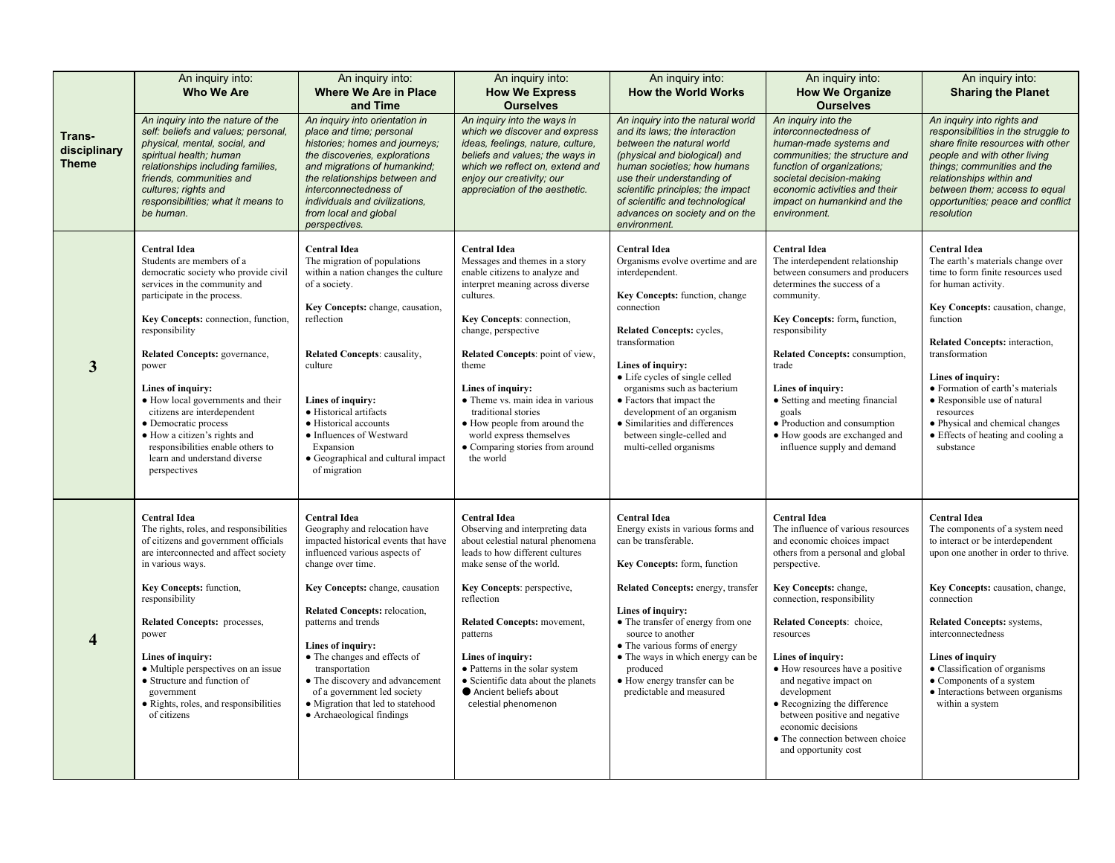| Trans-<br>disciplinary<br><b>Theme</b> | An inquiry into:<br><b>Who We Are</b>                                                                                                                                                                                                                                            | An inquiry into:<br><b>Where We Are in Place</b><br>and Time                                                                                                                                                                                                                                        | An inquiry into:<br><b>How We Express</b><br><b>Ourselves</b>                                                                                                                                                                          | An inquiry into:<br><b>How the World Works</b>                                                                                                                                                                                                                                                                          | An inquiry into:<br><b>How We Organize</b><br><b>Ourselves</b>                                                                                                                                                                                                                                                          | An inquiry into:<br><b>Sharing the Planet</b>                                                                                                                                                                                                                                         |
|----------------------------------------|----------------------------------------------------------------------------------------------------------------------------------------------------------------------------------------------------------------------------------------------------------------------------------|-----------------------------------------------------------------------------------------------------------------------------------------------------------------------------------------------------------------------------------------------------------------------------------------------------|----------------------------------------------------------------------------------------------------------------------------------------------------------------------------------------------------------------------------------------|-------------------------------------------------------------------------------------------------------------------------------------------------------------------------------------------------------------------------------------------------------------------------------------------------------------------------|-------------------------------------------------------------------------------------------------------------------------------------------------------------------------------------------------------------------------------------------------------------------------------------------------------------------------|---------------------------------------------------------------------------------------------------------------------------------------------------------------------------------------------------------------------------------------------------------------------------------------|
|                                        | An inquiry into the nature of the<br>self: beliefs and values; personal,<br>physical, mental, social, and<br>spiritual health; human<br>relationships including families,<br>friends, communities and<br>cultures: rights and<br>responsibilities; what it means to<br>be human. | An inquiry into orientation in<br>place and time; personal<br>histories; homes and journeys;<br>the discoveries, explorations<br>and migrations of humankind;<br>the relationships between and<br>interconnectedness of<br>individuals and civilizations.<br>from local and global<br>perspectives. | An inquiry into the ways in<br>which we discover and express<br>ideas, feelings, nature, culture,<br>beliefs and values; the ways in<br>which we reflect on, extend and<br>enjoy our creativity; our<br>appreciation of the aesthetic. | An inquiry into the natural world<br>and its laws; the interaction<br>between the natural world<br>(physical and biological) and<br>human societies; how humans<br>use their understanding of<br>scientific principles; the impact<br>of scientific and technological<br>advances on society and on the<br>environment. | An inquiry into the<br>interconnectedness of<br>human-made systems and<br>communities; the structure and<br>function of organizations;<br>societal decision-making<br>economic activities and their<br>impact on humankind and the<br>environment.                                                                      | An inquiry into rights and<br>responsibilities in the struggle to<br>share finite resources with other<br>people and with other living<br>things; communities and the<br>relationships within and<br>between them; access to equal<br>opportunities; peace and conflict<br>resolution |
| 3                                      | <b>Central Idea</b><br>Students are members of a<br>democratic society who provide civil<br>services in the community and<br>participate in the process.<br>Key Concepts: connection, function,<br>responsibility                                                                | <b>Central Idea</b><br>The migration of populations<br>within a nation changes the culture<br>of a society.<br>Key Concepts: change, causation,<br>reflection                                                                                                                                       | <b>Central Idea</b><br>Messages and themes in a story<br>enable citizens to analyze and<br>interpret meaning across diverse<br>cultures.<br>Key Concepts: connection,<br>change, perspective                                           | <b>Central Idea</b><br>Organisms evolve overtime and are<br>interdependent.<br>Key Concepts: function, change<br>connection<br><b>Related Concepts: cycles,</b><br>transformation                                                                                                                                       | <b>Central Idea</b><br>The interdependent relationship<br>between consumers and producers<br>determines the success of a<br>community.<br>Key Concepts: form, function,<br>responsibility                                                                                                                               | <b>Central Idea</b><br>The earth's materials change over<br>time to form finite resources used<br>for human activity.<br>Key Concepts: causation, change,<br>function<br>Related Concepts: interaction,                                                                               |
|                                        | Related Concepts: governance,<br>power<br>Lines of inquiry:<br>• How local governments and their<br>citizens are interdependent<br>· Democratic process<br>• How a citizen's rights and<br>responsibilities enable others to<br>learn and understand diverse<br>perspectives     | Related Concepts: causality,<br>culture<br>Lines of inquiry:<br>• Historical artifacts<br>• Historical accounts<br>• Influences of Westward<br>Expansion<br>• Geographical and cultural impact<br>of migration                                                                                      | Related Concepts: point of view,<br>theme<br>Lines of inquiry:<br>• Theme vs. main idea in various<br>traditional stories<br>• How people from around the<br>world express themselves<br>• Comparing stories from around<br>the world  | Lines of inquiry:<br>• Life cycles of single celled<br>organisms such as bacterium<br>• Factors that impact the<br>development of an organism<br>• Similarities and differences<br>between single-celled and<br>multi-celled organisms                                                                                  | <b>Related Concepts: consumption,</b><br>trade<br>Lines of inquiry:<br>• Setting and meeting financial<br>goals<br>• Production and consumption<br>• How goods are exchanged and<br>influence supply and demand                                                                                                         | transformation<br>Lines of inquiry:<br>• Formation of earth's materials<br>• Responsible use of natural<br>resources<br>• Physical and chemical changes<br>• Effects of heating and cooling a<br>substance                                                                            |
| 4                                      | <b>Central Idea</b><br>The rights, roles, and responsibilities<br>of citizens and government officials<br>are interconnected and affect society<br>in various ways.<br>Key Concepts: function,                                                                                   | <b>Central Idea</b><br>Geography and relocation have<br>impacted historical events that have<br>influenced various aspects of<br>change over time.<br>Key Concepts: change, causation                                                                                                               | <b>Central Idea</b><br>Observing and interpreting data<br>about celestial natural phenomena<br>leads to how different cultures<br>make sense of the world.<br>Key Concepts: perspective,                                               | <b>Central Idea</b><br>Energy exists in various forms and<br>can be transferable.<br>Key Concepts: form, function<br>Related Concepts: energy, transfer                                                                                                                                                                 | <b>Central Idea</b><br>The influence of various resources<br>and economic choices impact<br>others from a personal and global<br>perspective.<br>Key Concepts: change,                                                                                                                                                  | <b>Central Idea</b><br>The components of a system need<br>to interact or be interdependent<br>upon one another in order to thrive.<br>Key Concepts: causation, change,                                                                                                                |
|                                        | responsibility<br><b>Related Concepts: processes,</b><br>power<br>Lines of inquiry:<br>• Multiple perspectives on an issue<br>• Structure and function of<br>government<br>· Rights, roles, and responsibilities<br>of citizens                                                  | <b>Related Concepts:</b> relocation,<br>patterns and trends<br>Lines of inquiry:<br>• The changes and effects of<br>transportation<br>• The discovery and advancement<br>of a government led society<br>· Migration that led to statehood<br>• Archaeological findings                              | reflection<br>Related Concepts: movement,<br>patterns<br>Lines of inquiry:<br>• Patterns in the solar system<br>• Scientific data about the planets<br>Ancient beliefs about<br>celestial phenomenon                                   | Lines of inquiry:<br>• The transfer of energy from one<br>source to another<br>• The various forms of energy<br>• The ways in which energy can be<br>produced<br>• How energy transfer can be<br>predictable and measured                                                                                               | connection, responsibility<br>Related Concepts: choice,<br>resources<br>Lines of inquiry:<br>• How resources have a positive<br>and negative impact on<br>development<br>• Recognizing the difference<br>between positive and negative<br>economic decisions<br>• The connection between choice<br>and opportunity cost | connection<br><b>Related Concepts: systems,</b><br>interconnectedness<br><b>Lines of inquiry</b><br>• Classification of organisms<br>• Components of a system<br>• Interactions between organisms<br>within a system                                                                  |